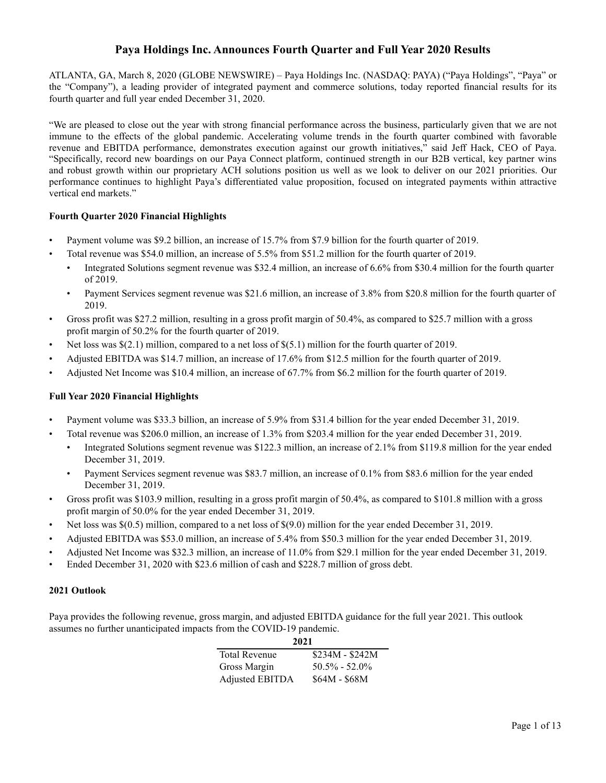# **Paya Holdings Inc. Announces Fourth Quarter and Full Year 2020 Results**

ATLANTA, GA, March 8, 2020 (GLOBE NEWSWIRE) – Paya Holdings Inc. (NASDAQ: PAYA) ("Paya Holdings", "Paya" or the "Company"), a leading provider of integrated payment and commerce solutions, today reported financial results for its fourth quarter and full year ended December 31, 2020.

"We are pleased to close out the year with strong financial performance across the business, particularly given that we are not immune to the effects of the global pandemic. Accelerating volume trends in the fourth quarter combined with favorable revenue and EBITDA performance, demonstrates execution against our growth initiatives," said Jeff Hack, CEO of Paya. "Specifically, record new boardings on our Paya Connect platform, continued strength in our B2B vertical, key partner wins and robust growth within our proprietary ACH solutions position us well as we look to deliver on our 2021 priorities. Our performance continues to highlight Paya's differentiated value proposition, focused on integrated payments within attractive vertical end markets."

### **Fourth Quarter 2020 Financial Highlights**

- Payment volume was \$9.2 billion, an increase of 15.7% from \$7.9 billion for the fourth quarter of 2019.
- Total revenue was \$54.0 million, an increase of 5.5% from \$51.2 million for the fourth quarter of 2019.
	- Integrated Solutions segment revenue was \$32.4 million, an increase of 6.6% from \$30.4 million for the fourth quarter of 2019.
	- Payment Services segment revenue was \$21.6 million, an increase of 3.8% from \$20.8 million for the fourth quarter of 2019.
- Gross profit was \$27.2 million, resulting in a gross profit margin of 50.4%, as compared to \$25.7 million with a gross profit margin of 50.2% for the fourth quarter of 2019.
- Net loss was \$(2.1) million, compared to a net loss of \$(5.1) million for the fourth quarter of 2019.
- Adjusted EBITDA was \$14.7 million, an increase of 17.6% from \$12.5 million for the fourth quarter of 2019.
- Adjusted Net Income was \$10.4 million, an increase of 67.7% from \$6.2 million for the fourth quarter of 2019.

### **Full Year 2020 Financial Highlights**

- Payment volume was \$33.3 billion, an increase of 5.9% from \$31.4 billion for the year ended December 31, 2019.
- Total revenue was \$206.0 million, an increase of 1.3% from \$203.4 million for the year ended December 31, 2019.
	- Integrated Solutions segment revenue was \$122.3 million, an increase of 2.1% from \$119.8 million for the year ended December 31, 2019.
	- Payment Services segment revenue was \$83.7 million, an increase of 0.1% from \$83.6 million for the year ended December 31, 2019.
- Gross profit was \$103.9 million, resulting in a gross profit margin of 50.4%, as compared to \$101.8 million with a gross profit margin of 50.0% for the year ended December 31, 2019.
- Net loss was \$(0.5) million, compared to a net loss of \$(9.0) million for the year ended December 31, 2019.
- Adjusted EBITDA was \$53.0 million, an increase of 5.4% from \$50.3 million for the year ended December 31, 2019.
- Adjusted Net Income was \$32.3 million, an increase of 11.0% from \$29.1 million for the year ended December 31, 2019.
- Ended December 31, 2020 with \$23.6 million of cash and \$228.7 million of gross debt.

#### **2021 Outlook**

Paya provides the following revenue, gross margin, and adjusted EBITDA guidance for the full year 2021. This outlook assumes no further unanticipated impacts from the COVID-19 pandemic.

| ZUZ L                |                   |
|----------------------|-------------------|
| <b>Total Revenue</b> | $$234M - $242M$   |
| Gross Margin         | $50.5\% - 52.0\%$ |
| Adjusted EBITDA      | $$64M - $68M$     |

**2021**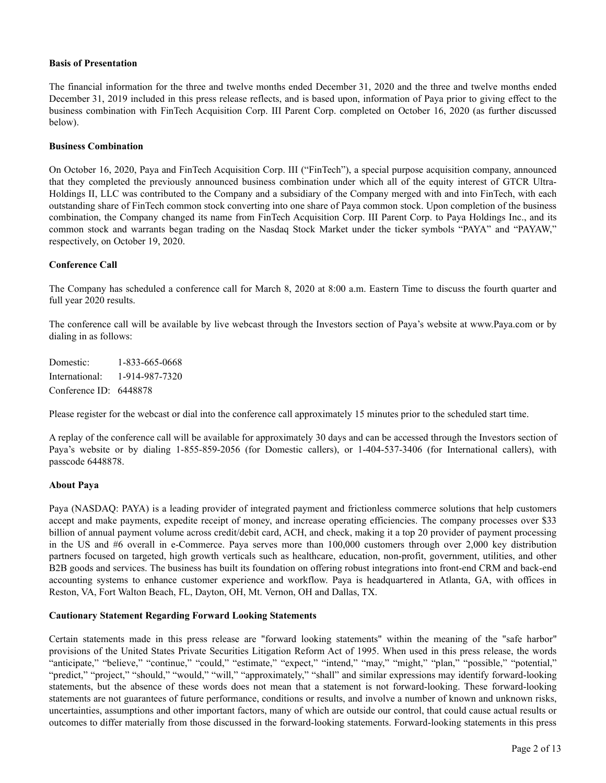### **Basis of Presentation**

The financial information for the three and twelve months ended December 31, 2020 and the three and twelve months ended December 31, 2019 included in this press release reflects, and is based upon, information of Paya prior to giving effect to the business combination with FinTech Acquisition Corp. III Parent Corp. completed on October 16, 2020 (as further discussed below).

### **Business Combination**

On October 16, 2020, Paya and FinTech Acquisition Corp. III ("FinTech"), a special purpose acquisition company, announced that they completed the previously announced business combination under which all of the equity interest of GTCR Ultra-Holdings II, LLC was contributed to the Company and a subsidiary of the Company merged with and into FinTech, with each outstanding share of FinTech common stock converting into one share of Paya common stock. Upon completion of the business combination, the Company changed its name from FinTech Acquisition Corp. III Parent Corp. to Paya Holdings Inc., and its common stock and warrants began trading on the Nasdaq Stock Market under the ticker symbols "PAYA" and "PAYAW," respectively, on October 19, 2020.

### **Conference Call**

The Company has scheduled a conference call for March 8, 2020 at 8:00 a.m. Eastern Time to discuss the fourth quarter and full year 2020 results.

The conference call will be available by live webcast through the Investors section of Paya's website at www.Paya.com or by dialing in as follows:

Domestic: 1-833-665-0668 International: 1-914-987-7320 Conference ID: 6448878

Please register for the webcast or dial into the conference call approximately 15 minutes prior to the scheduled start time.

A replay of the conference call will be available for approximately 30 days and can be accessed through the Investors section of Paya's website or by dialing 1-855-859-2056 (for Domestic callers), or 1-404-537-3406 (for International callers), with passcode 6448878.

#### **About Paya**

Paya (NASDAQ: PAYA) is a leading provider of integrated payment and frictionless commerce solutions that help customers accept and make payments, expedite receipt of money, and increase operating efficiencies. The company processes over \$33 billion of annual payment volume across credit/debit card, ACH, and check, making it a top 20 provider of payment processing in the US and #6 overall in e-Commerce. Paya serves more than 100,000 customers through over 2,000 key distribution partners focused on targeted, high growth verticals such as healthcare, education, non-profit, government, utilities, and other B2B goods and services. The business has built its foundation on offering robust integrations into front-end CRM and back-end accounting systems to enhance customer experience and workflow. Paya is headquartered in Atlanta, GA, with offices in Reston, VA, Fort Walton Beach, FL, Dayton, OH, Mt. Vernon, OH and Dallas, TX.

#### **Cautionary Statement Regarding Forward Looking Statements**

Certain statements made in this press release are "forward looking statements" within the meaning of the "safe harbor" provisions of the United States Private Securities Litigation Reform Act of 1995. When used in this press release, the words "anticipate," "believe," "continue," "could," "estimate," "expect," "intend," "may," "might," "plan," "possible," "potential," "predict," "project," "should," "would," "will," "approximately," "shall" and similar expressions may identify forward-looking statements, but the absence of these words does not mean that a statement is not forward-looking. These forward-looking statements are not guarantees of future performance, conditions or results, and involve a number of known and unknown risks, uncertainties, assumptions and other important factors, many of which are outside our control, that could cause actual results or outcomes to differ materially from those discussed in the forward-looking statements. Forward-looking statements in this press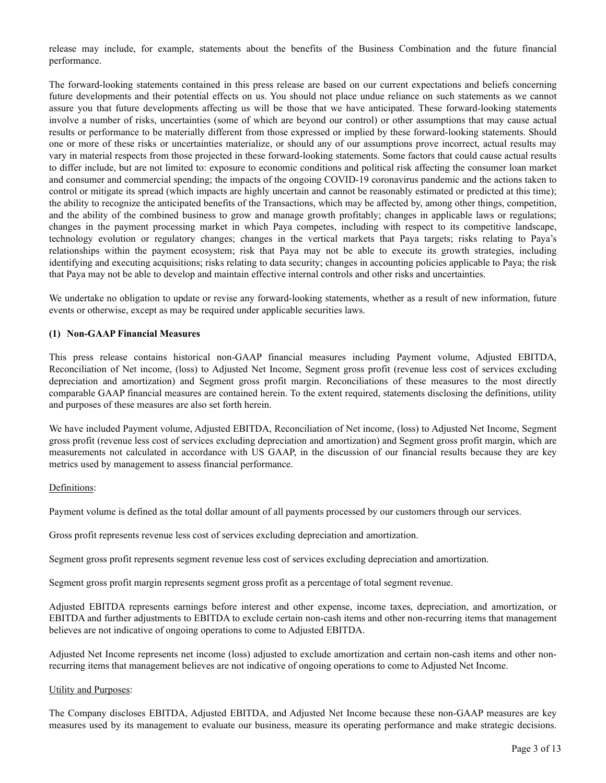release may include, for example, statements about the benefits of the Business Combination and the future financial performance.

The forward-looking statements contained in this press release are based on our current expectations and beliefs concerning future developments and their potential effects on us. You should not place undue reliance on such statements as we cannot assure you that future developments affecting us will be those that we have anticipated. These forward-looking statements involve a number of risks, uncertainties (some of which are beyond our control) or other assumptions that may cause actual results or performance to be materially different from those expressed or implied by these forward-looking statements. Should one or more of these risks or uncertainties materialize, or should any of our assumptions prove incorrect, actual results may vary in material respects from those projected in these forward-looking statements. Some factors that could cause actual results to differ include, but are not limited to: exposure to economic conditions and political risk affecting the consumer loan market and consumer and commercial spending; the impacts of the ongoing COVID-19 coronavirus pandemic and the actions taken to control or mitigate its spread (which impacts are highly uncertain and cannot be reasonably estimated or predicted at this time); the ability to recognize the anticipated benefits of the Transactions, which may be affected by, among other things, competition, and the ability of the combined business to grow and manage growth profitably; changes in applicable laws or regulations; changes in the payment processing market in which Paya competes, including with respect to its competitive landscape, technology evolution or regulatory changes; changes in the vertical markets that Paya targets; risks relating to Paya's relationships within the payment ecosystem; risk that Paya may not be able to execute its growth strategies, including identifying and executing acquisitions; risks relating to data security; changes in accounting policies applicable to Paya; the risk that Paya may not be able to develop and maintain effective internal controls and other risks and uncertainties.

We undertake no obligation to update or revise any forward-looking statements, whether as a result of new information, future events or otherwise, except as may be required under applicable securities laws.

### **(1) Non-GAAP Financial Measures**

This press release contains historical non-GAAP financial measures including Payment volume, Adjusted EBITDA, Reconciliation of Net income, (loss) to Adjusted Net Income, Segment gross profit (revenue less cost of services excluding depreciation and amortization) and Segment gross profit margin. Reconciliations of these measures to the most directly comparable GAAP financial measures are contained herein. To the extent required, statements disclosing the definitions, utility and purposes of these measures are also set forth herein.

We have included Payment volume, Adjusted EBITDA, Reconciliation of Net income, (loss) to Adjusted Net Income, Segment gross profit (revenue less cost of services excluding depreciation and amortization) and Segment gross profit margin, which are measurements not calculated in accordance with US GAAP, in the discussion of our financial results because they are key metrics used by management to assess financial performance.

#### Definitions:

Payment volume is defined as the total dollar amount of all payments processed by our customers through our services.

Gross profit represents revenue less cost of services excluding depreciation and amortization.

Segment gross profit represents segment revenue less cost of services excluding depreciation and amortization.

Segment gross profit margin represents segment gross profit as a percentage of total segment revenue.

Adjusted EBITDA represents earnings before interest and other expense, income taxes, depreciation, and amortization, or EBITDA and further adjustments to EBITDA to exclude certain non-cash items and other non-recurring items that management believes are not indicative of ongoing operations to come to Adjusted EBITDA.

Adjusted Net Income represents net income (loss) adjusted to exclude amortization and certain non-cash items and other nonrecurring items that management believes are not indicative of ongoing operations to come to Adjusted Net Income.

#### Utility and Purposes:

The Company discloses EBITDA, Adjusted EBITDA, and Adjusted Net Income because these non-GAAP measures are key measures used by its management to evaluate our business, measure its operating performance and make strategic decisions.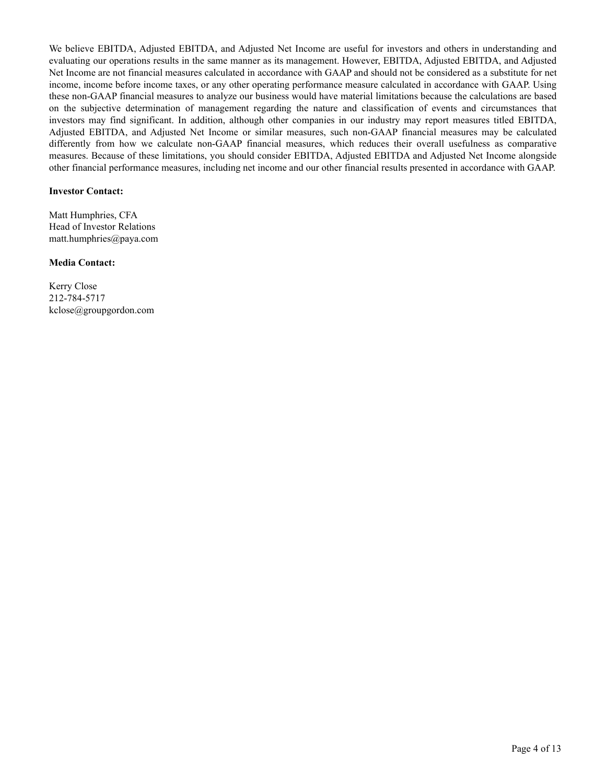We believe EBITDA, Adjusted EBITDA, and Adjusted Net Income are useful for investors and others in understanding and evaluating our operations results in the same manner as its management. However, EBITDA, Adjusted EBITDA, and Adjusted Net Income are not financial measures calculated in accordance with GAAP and should not be considered as a substitute for net income, income before income taxes, or any other operating performance measure calculated in accordance with GAAP. Using these non-GAAP financial measures to analyze our business would have material limitations because the calculations are based on the subjective determination of management regarding the nature and classification of events and circumstances that investors may find significant. In addition, although other companies in our industry may report measures titled EBITDA, Adjusted EBITDA, and Adjusted Net Income or similar measures, such non-GAAP financial measures may be calculated differently from how we calculate non-GAAP financial measures, which reduces their overall usefulness as comparative measures. Because of these limitations, you should consider EBITDA, Adjusted EBITDA and Adjusted Net Income alongside other financial performance measures, including net income and our other financial results presented in accordance with GAAP.

### **Investor Contact:**

Matt Humphries, CFA Head of Investor Relations matt.humphries@paya.com

### **Media Contact:**

Kerry Close 212-784-5717 kclose@groupgordon.com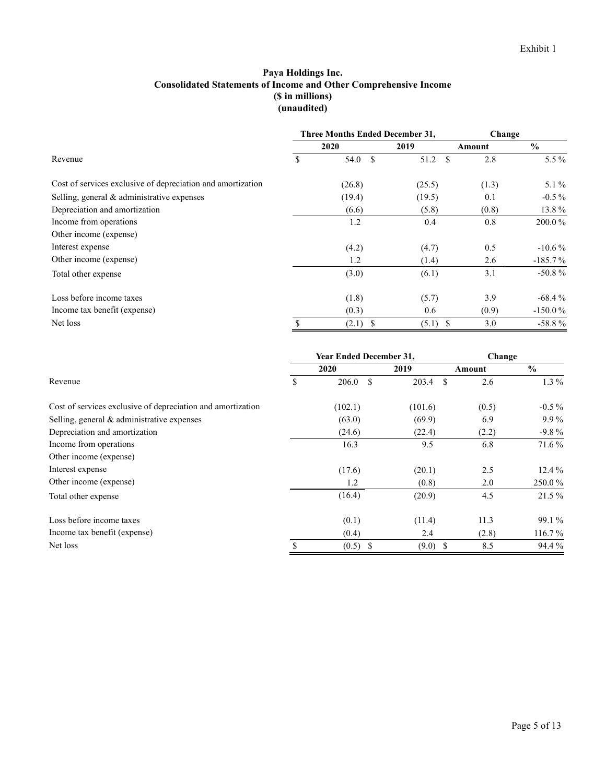## **Paya Holdings Inc. Consolidated Statements of Income and Other Comprehensive Income (\$ in millions) (unaudited)**

|                                                             |     | Three Months Ended December 31, |               | Change |                      |               |
|-------------------------------------------------------------|-----|---------------------------------|---------------|--------|----------------------|---------------|
|                                                             |     | 2020                            |               | 2019   | Amount               | $\frac{0}{0}$ |
| Revenue                                                     | S   | 54.0                            | <sup>\$</sup> | 51.2   | 2.8<br><sup>\$</sup> | $5.5\%$       |
| Cost of services exclusive of depreciation and amortization |     | (26.8)                          |               | (25.5) | (1.3)                | $5.1\%$       |
| Selling, general & administrative expenses                  |     | (19.4)                          |               | (19.5) | 0.1                  | $-0.5\%$      |
| Depreciation and amortization                               |     | (6.6)                           |               | (5.8)  | (0.8)                | 13.8%         |
| Income from operations                                      |     | 1.2                             |               | 0.4    | 0.8                  | 200.0%        |
| Other income (expense)                                      |     |                                 |               |        |                      |               |
| Interest expense                                            |     | (4.2)                           |               | (4.7)  | 0.5                  | $-10.6\%$     |
| Other income (expense)                                      |     | 1.2                             |               | (1.4)  | 2.6                  | $-185.7%$     |
| Total other expense                                         |     | (3.0)                           |               | (6.1)  | 3.1                  | $-50.8%$      |
| Loss before income taxes                                    |     | (1.8)                           |               | (5.7)  | 3.9                  | $-68.4%$      |
| Income tax benefit (expense)                                |     | (0.3)                           |               | 0.6    | (0.9)                | $-150.0\%$    |
| Net loss                                                    | \$. | (2.1)                           |               | (5.1)  | 3.0<br>-S            | $-58.8%$      |

|                                                             |               | Year Ended December 31, |               | Change    |               |  |
|-------------------------------------------------------------|---------------|-------------------------|---------------|-----------|---------------|--|
|                                                             |               | 2020                    | 2019          | Amount    | $\frac{0}{0}$ |  |
| Revenue                                                     | \$            | 206.0                   | - \$<br>203.4 | \$<br>2.6 | $1.3\%$       |  |
| Cost of services exclusive of depreciation and amortization |               | (102.1)                 | (101.6)       | (0.5)     | $-0.5\%$      |  |
| Selling, general & administrative expenses                  |               | (63.0)                  | (69.9)        | 6.9       | $9.9\%$       |  |
| Depreciation and amortization                               |               | (24.6)                  | (22.4)        | (2.2)     | $-9.8%$       |  |
| Income from operations                                      |               | 16.3                    | 9.5           | 6.8       | 71.6%         |  |
| Other income (expense)                                      |               |                         |               |           |               |  |
| Interest expense                                            |               | (17.6)                  | (20.1)        | 2.5       | 12.4 %        |  |
| Other income (expense)                                      |               | 1.2                     | (0.8)         | 2.0       | 250.0%        |  |
| Total other expense                                         |               | (16.4)                  | (20.9)        | 4.5       | 21.5 %        |  |
| Loss before income taxes                                    |               | (0.1)                   | (11.4)        | 11.3      | 99.1 %        |  |
| Income tax benefit (expense)                                |               | (0.4)                   | 2.4           | (2.8)     | 116.7%        |  |
| Net loss                                                    | <sup>\$</sup> | $(0.5)$ \$              | $(9.0)$ \$    | 8.5       | 94.4 %        |  |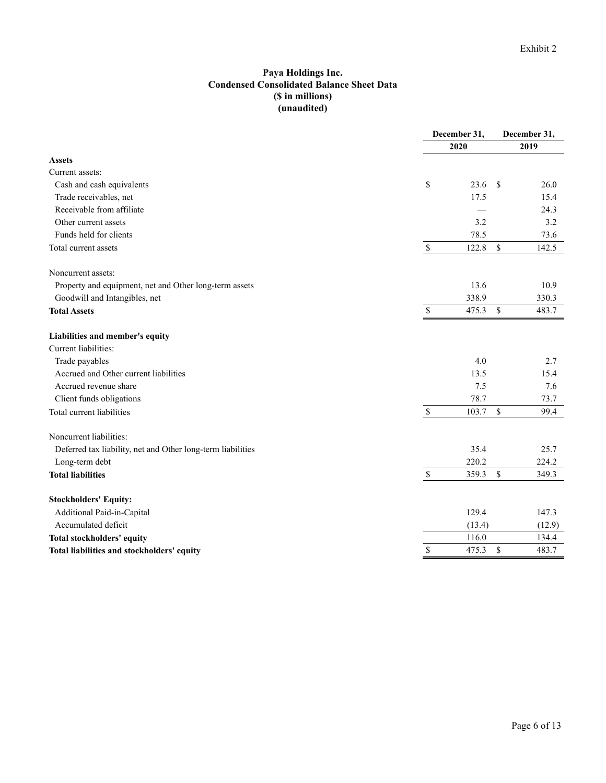### **Paya Holdings Inc. Condensed Consolidated Balance Sheet Data (\$ in millions) (unaudited)**

|                                                             | December 31, |        | December 31,  |        |
|-------------------------------------------------------------|--------------|--------|---------------|--------|
|                                                             |              | 2020   |               | 2019   |
| <b>Assets</b>                                               |              |        |               |        |
| Current assets:                                             |              |        |               |        |
| Cash and cash equivalents                                   | \$           | 23.6   | -S            | 26.0   |
| Trade receivables, net                                      |              | 17.5   |               | 15.4   |
| Receivable from affiliate                                   |              |        |               | 24.3   |
| Other current assets                                        |              | 3.2    |               | 3.2    |
| Funds held for clients                                      |              | 78.5   |               | 73.6   |
| Total current assets                                        | $\mathbb{S}$ | 122.8  | \$            | 142.5  |
| Noncurrent assets:                                          |              |        |               |        |
| Property and equipment, net and Other long-term assets      |              | 13.6   |               | 10.9   |
| Goodwill and Intangibles, net                               |              | 338.9  |               | 330.3  |
| <b>Total Assets</b>                                         | \$           | 475.3  | $\mathsf{\$}$ | 483.7  |
| Liabilities and member's equity                             |              |        |               |        |
| Current liabilities:                                        |              |        |               |        |
| Trade payables                                              |              | 4.0    |               | 2.7    |
| Accrued and Other current liabilities                       |              | 13.5   |               | 15.4   |
| Accrued revenue share                                       |              | 7.5    |               | 7.6    |
| Client funds obligations                                    |              | 78.7   |               | 73.7   |
| Total current liabilities                                   | $\mathbb{S}$ | 103.7  | \$            | 99.4   |
| Noncurrent liabilities:                                     |              |        |               |        |
| Deferred tax liability, net and Other long-term liabilities |              | 35.4   |               | 25.7   |
| Long-term debt                                              |              | 220.2  |               | 224.2  |
| <b>Total liabilities</b>                                    | $\mathbb{S}$ | 359.3  | \$            | 349.3  |
| <b>Stockholders' Equity:</b>                                |              |        |               |        |
| Additional Paid-in-Capital                                  |              | 129.4  |               | 147.3  |
| Accumulated deficit                                         |              | (13.4) |               | (12.9) |
| Total stockholders' equity                                  |              | 116.0  |               | 134.4  |
| Total liabilities and stockholders' equity                  | \$           | 475.3  | \$            | 483.7  |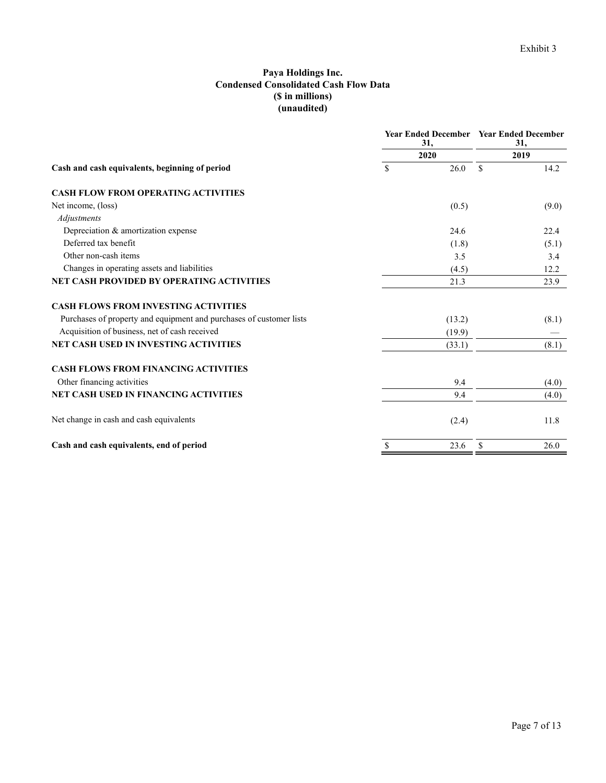## **Paya Holdings Inc. Condensed Consolidated Cash Flow Data (\$ in millions) (unaudited)**

|                                                                     |               | 31,    | <b>Year Ended December Year Ended December</b><br>31, |       |
|---------------------------------------------------------------------|---------------|--------|-------------------------------------------------------|-------|
|                                                                     |               | 2020   |                                                       | 2019  |
| Cash and cash equivalents, beginning of period                      | <sup>\$</sup> | 26.0   | <sup>\$</sup>                                         | 14.2  |
| <b>CASH FLOW FROM OPERATING ACTIVITIES</b>                          |               |        |                                                       |       |
| Net income, (loss)                                                  |               | (0.5)  |                                                       | (9.0) |
| Adjustments                                                         |               |        |                                                       |       |
| Depreciation & amortization expense                                 |               | 24.6   |                                                       | 22.4  |
| Deferred tax benefit                                                |               | (1.8)  |                                                       | (5.1) |
| Other non-cash items                                                |               | 3.5    |                                                       | 3.4   |
| Changes in operating assets and liabilities                         |               | (4.5)  |                                                       | 12.2  |
| NET CASH PROVIDED BY OPERATING ACTIVITIES                           |               | 21.3   |                                                       | 23.9  |
| <b>CASH FLOWS FROM INVESTING ACTIVITIES</b>                         |               |        |                                                       |       |
| Purchases of property and equipment and purchases of customer lists |               | (13.2) |                                                       | (8.1) |
| Acquisition of business, net of cash received                       |               | (19.9) |                                                       |       |
| NET CASH USED IN INVESTING ACTIVITIES                               |               | (33.1) |                                                       | (8.1) |
| <b>CASH FLOWS FROM FINANCING ACTIVITIES</b>                         |               |        |                                                       |       |
| Other financing activities                                          |               | 9.4    |                                                       | (4.0) |
| <b>NET CASH USED IN FINANCING ACTIVITIES</b>                        |               | 9.4    |                                                       | (4.0) |
| Net change in cash and cash equivalents                             |               | (2.4)  |                                                       | 11.8  |
| Cash and cash equivalents, end of period                            |               | 23.6   | \$                                                    | 26.0  |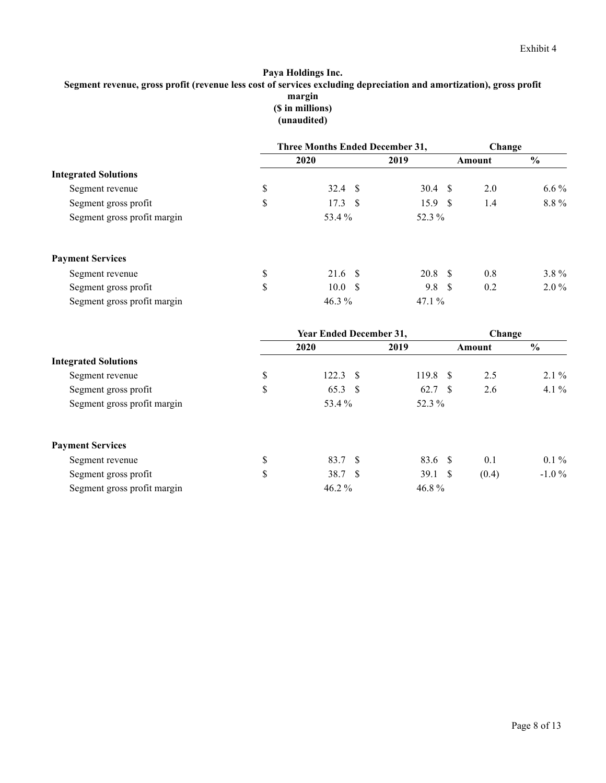### **Paya Holdings Inc. Segment revenue, gross profit (revenue less cost of services excluding depreciation and amortization), gross profit margin (\$ in millions) (unaudited)**

|                             |        | <b>Three Months Ended December 31,</b> | Change            |  |        |               |
|-----------------------------|--------|----------------------------------------|-------------------|--|--------|---------------|
|                             |        | 2020                                   | 2019              |  | Amount | $\frac{0}{0}$ |
| <b>Integrated Solutions</b> |        |                                        |                   |  |        |               |
| Segment revenue             | \$     | 32.4 \$                                | $30.4 \text{ } S$ |  | 2.0    | $6.6\%$       |
| Segment gross profit        | ¢<br>D | $17.3 \quad $$                         | 15.9 <sup>°</sup> |  | 1.4    | 8.8%          |
| Segment gross profit margin |        | 53.4 %                                 | 52.3 %            |  |        |               |
| <b>Payment Services</b>     |        |                                        |                   |  |        |               |
| Segment revenue             | \$     | $21.6$ \$                              | $20.8 \quad$ \$   |  | 0.8    | $3.8\%$       |
| Segment gross profit        | ¢<br>D | 10.0 S                                 | 9.8 <sup>°</sup>  |  | 0.2    | $2.0\%$       |
| Segment gross profit margin |        | 46.3 %                                 | 47.1 $%$          |  |        |               |

|                             | <b>Year Ended December 31,</b> | Change             |             |          |
|-----------------------------|--------------------------------|--------------------|-------------|----------|
|                             | 2020                           | 2019               | Amount      | $\%$     |
| <b>Integrated Solutions</b> |                                |                    |             |          |
| Segment revenue             | \$<br>$122.3$ \$               | 119.8              | 2.5<br>- S  | $2.1\%$  |
| Segment gross profit        | \$<br>$65.3$ \$                | 62.7               | 2.6<br>- \$ | 4.1 $\%$ |
| Segment gross profit margin | 53.4 %                         | 52.3 %             |             |          |
| <b>Payment Services</b>     |                                |                    |             |          |
| Segment revenue             | \$<br>83.7 \$                  | 83.6 \$            | 0.1         | $0.1\%$  |
| Segment gross profit        | \$<br>38.7 \$                  | $39.1 \text{ }$ \$ | (0.4)       | $-1.0\%$ |
| Segment gross profit margin | $46.2\%$                       | 46.8%              |             |          |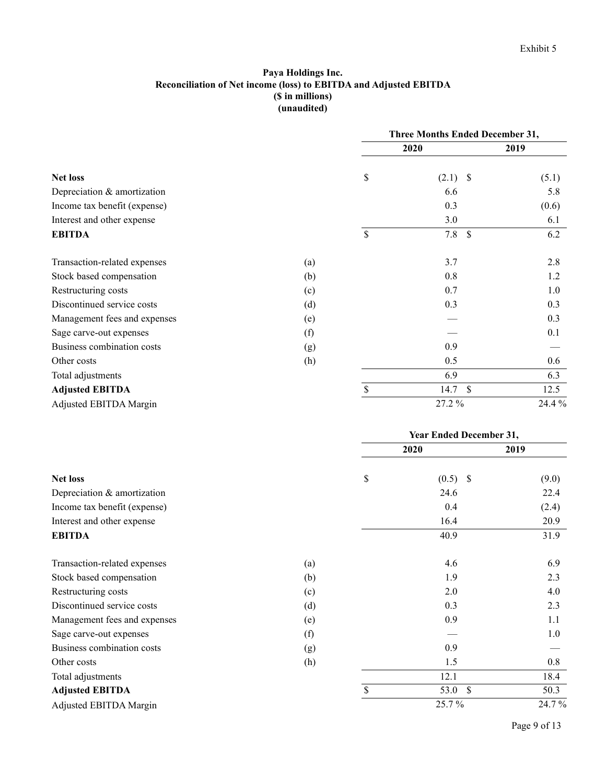## **Paya Holdings Inc. Reconciliation of Net income (loss) to EBITDA and Adjusted EBITDA (\$ in millions) (unaudited)**

|                              |     | <b>Three Months Ended December 31,</b> |                      |        |  |
|------------------------------|-----|----------------------------------------|----------------------|--------|--|
|                              |     |                                        | 2020                 | 2019   |  |
| <b>Net loss</b>              |     | \$                                     | $(2.1)$ \$           | (5.1)  |  |
| Depreciation & amortization  |     |                                        | 6.6                  | 5.8    |  |
| Income tax benefit (expense) |     |                                        | 0.3                  | (0.6)  |  |
| Interest and other expense   |     |                                        | 3.0                  | 6.1    |  |
| <b>EBITDA</b>                |     | $\mathbb{S}$                           | 7.8<br>$\mathcal{S}$ | 6.2    |  |
| Transaction-related expenses | (a) |                                        | 3.7                  | 2.8    |  |
| Stock based compensation     | (b) |                                        | 0.8                  | 1.2    |  |
| Restructuring costs          | (c) |                                        | 0.7                  | 1.0    |  |
| Discontinued service costs   | (d) |                                        | 0.3                  | 0.3    |  |
| Management fees and expenses | (e) |                                        |                      | 0.3    |  |
| Sage carve-out expenses      | (f) |                                        |                      | 0.1    |  |
| Business combination costs   | (g) |                                        | 0.9                  |        |  |
| Other costs                  | (h) |                                        | 0.5                  | 0.6    |  |
| Total adjustments            |     |                                        | 6.9                  | 6.3    |  |
| <b>Adjusted EBITDA</b>       |     | $\mathbb{S}$                           | 14.7 $\sqrt$         | 12.5   |  |
| Adjusted EBITDA Margin       |     |                                        | 27.2 %               | 24.4 % |  |

|                              |     |    | <b>Year Ended December 31,</b> |       |
|------------------------------|-----|----|--------------------------------|-------|
|                              |     |    | 2020                           | 2019  |
| <b>Net loss</b>              |     | \$ | $(0.5)$ \$                     | (9.0) |
| Depreciation & amortization  |     |    | 24.6                           | 22.4  |
| Income tax benefit (expense) |     |    | 0.4                            | (2.4) |
| Interest and other expense   |     |    | 16.4                           | 20.9  |
| <b>EBITDA</b>                |     |    | 40.9                           | 31.9  |
| Transaction-related expenses | (a) |    | 4.6                            | 6.9   |
| Stock based compensation     | (b) |    | 1.9                            | 2.3   |
| Restructuring costs          | (c) |    | 2.0                            | 4.0   |
| Discontinued service costs   | (d) |    | 0.3                            | 2.3   |
| Management fees and expenses | (e) |    | 0.9                            | 1.1   |
| Sage carve-out expenses      | (f) |    |                                | 1.0   |
| Business combination costs   | (g) |    | 0.9                            |       |
| Other costs                  | (h) |    | 1.5                            | 0.8   |
| Total adjustments            |     |    | 12.1                           | 18.4  |
| <b>Adjusted EBITDA</b>       |     |    | 53.0 \$                        | 50.3  |
| Adjusted EBITDA Margin       |     |    | 25.7%                          | 24.7% |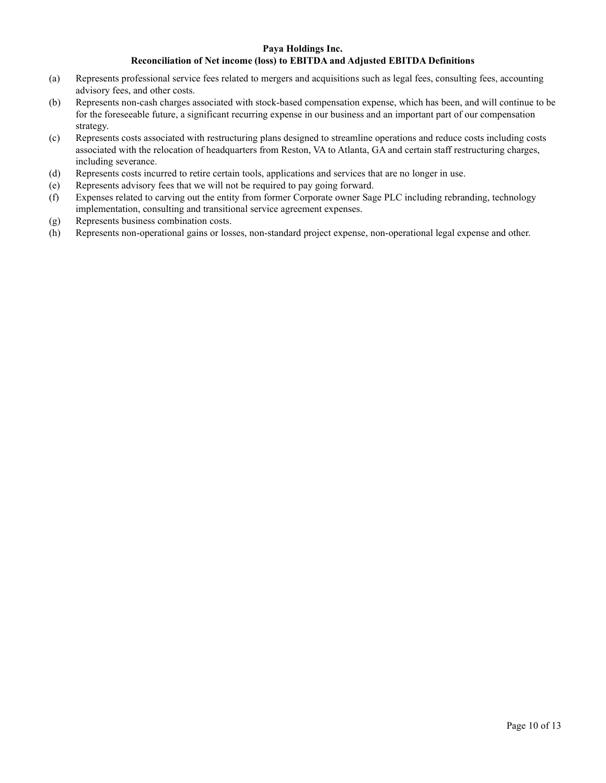### **Paya Holdings Inc. Reconciliation of Net income (loss) to EBITDA and Adjusted EBITDA Definitions**

- (a) Represents professional service fees related to mergers and acquisitions such as legal fees, consulting fees, accounting advisory fees, and other costs.
- (b) Represents non-cash charges associated with stock-based compensation expense, which has been, and will continue to be for the foreseeable future, a significant recurring expense in our business and an important part of our compensation strategy.
- (c) Represents costs associated with restructuring plans designed to streamline operations and reduce costs including costs associated with the relocation of headquarters from Reston, VA to Atlanta, GA and certain staff restructuring charges, including severance.
- (d) Represents costs incurred to retire certain tools, applications and services that are no longer in use.
- (e) Represents advisory fees that we will not be required to pay going forward.
- (f) Expenses related to carving out the entity from former Corporate owner Sage PLC including rebranding, technology implementation, consulting and transitional service agreement expenses.
- (g) Represents business combination costs.
- (h) Represents non-operational gains or losses, non-standard project expense, non-operational legal expense and other.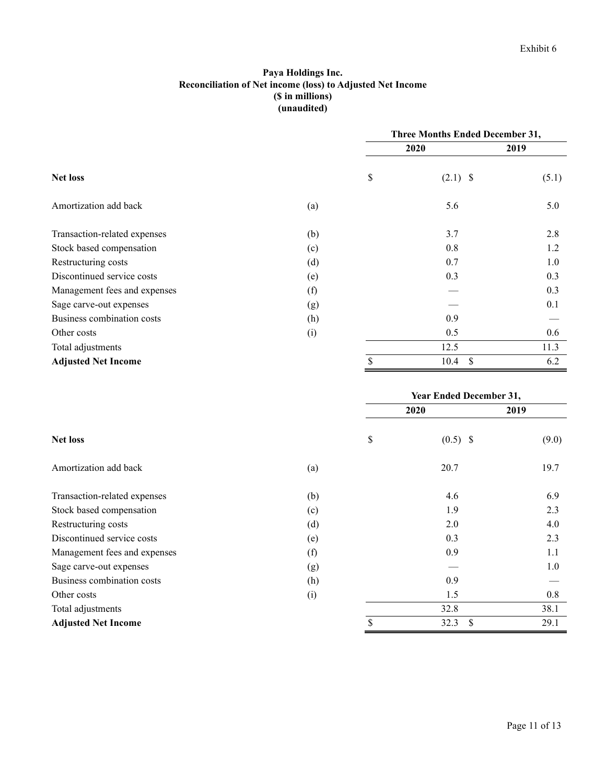## **Paya Holdings Inc. Reconciliation of Net income (loss) to Adjusted Net Income (\$ in millions) (unaudited)**

|                              | Three Months Ended December 31, |    |            |       |  |
|------------------------------|---------------------------------|----|------------|-------|--|
|                              |                                 |    | 2020       | 2019  |  |
| <b>Net loss</b>              |                                 | \$ | $(2.1)$ \$ | (5.1) |  |
| Amortization add back        | (a)                             |    | 5.6        | 5.0   |  |
| Transaction-related expenses | (b)                             |    | 3.7        | 2.8   |  |
| Stock based compensation     | (c)                             |    | 0.8        | 1.2   |  |
| Restructuring costs          | (d)                             |    | 0.7        | 1.0   |  |
| Discontinued service costs   | (e)                             |    | 0.3        | 0.3   |  |
| Management fees and expenses | (f)                             |    |            | 0.3   |  |
| Sage carve-out expenses      | (g)                             |    |            | 0.1   |  |
| Business combination costs   | (h)                             |    | 0.9        |       |  |
| Other costs                  | (i)                             |    | 0.5        | 0.6   |  |
| Total adjustments            |                                 |    | 12.5       | 11.3  |  |
| <b>Adjusted Net Income</b>   |                                 |    | \$<br>10.4 | 6.2   |  |

|                              | <b>Year Ended December 31,</b> |    |                       |       |  |
|------------------------------|--------------------------------|----|-----------------------|-------|--|
|                              |                                |    | 2020                  | 2019  |  |
| <b>Net loss</b>              |                                | \$ | $(0.5)$ \$            | (9.0) |  |
| Amortization add back        | (a)                            |    | 20.7                  | 19.7  |  |
| Transaction-related expenses | (b)                            |    | 4.6                   | 6.9   |  |
| Stock based compensation     | (c)                            |    | 1.9                   | 2.3   |  |
| Restructuring costs          | (d)                            |    | 2.0                   | 4.0   |  |
| Discontinued service costs   | (e)                            |    | 0.3                   | 2.3   |  |
| Management fees and expenses | (f)                            |    | 0.9                   | 1.1   |  |
| Sage carve-out expenses      | (g)                            |    |                       | 1.0   |  |
| Business combination costs   | (h)                            |    | 0.9                   |       |  |
| Other costs                  | (i)                            |    | 1.5                   | 0.8   |  |
| Total adjustments            |                                |    | 32.8                  | 38.1  |  |
| <b>Adjusted Net Income</b>   |                                | \$ | 32.3<br><sup>\$</sup> | 29.1  |  |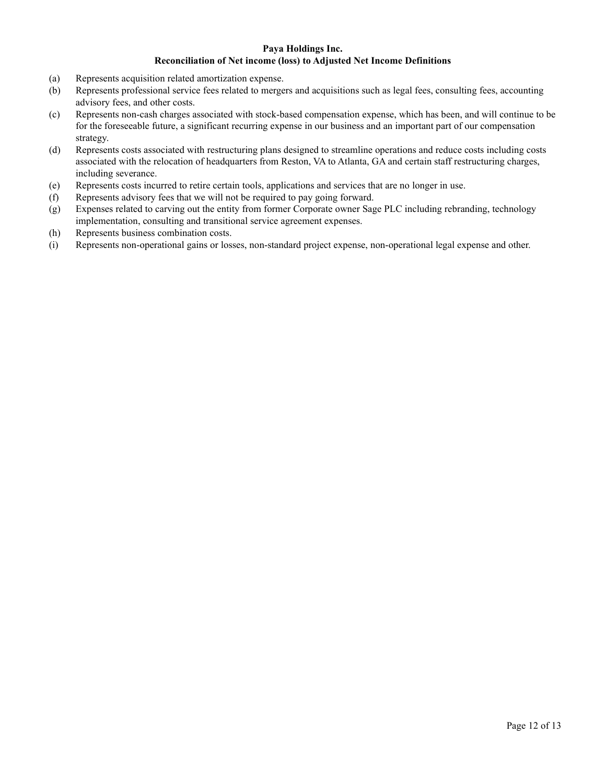### **Paya Holdings Inc. Reconciliation of Net income (loss) to Adjusted Net Income Definitions**

- (a) Represents acquisition related amortization expense.
- (b) Represents professional service fees related to mergers and acquisitions such as legal fees, consulting fees, accounting advisory fees, and other costs.
- (c) Represents non-cash charges associated with stock-based compensation expense, which has been, and will continue to be for the foreseeable future, a significant recurring expense in our business and an important part of our compensation strategy.
- (d) Represents costs associated with restructuring plans designed to streamline operations and reduce costs including costs associated with the relocation of headquarters from Reston, VA to Atlanta, GA and certain staff restructuring charges, including severance.
- (e) Represents costs incurred to retire certain tools, applications and services that are no longer in use.
- (f) Represents advisory fees that we will not be required to pay going forward.
- (g) Expenses related to carving out the entity from former Corporate owner Sage PLC including rebranding, technology implementation, consulting and transitional service agreement expenses.
- (h) Represents business combination costs.
- (i) Represents non-operational gains or losses, non-standard project expense, non-operational legal expense and other.